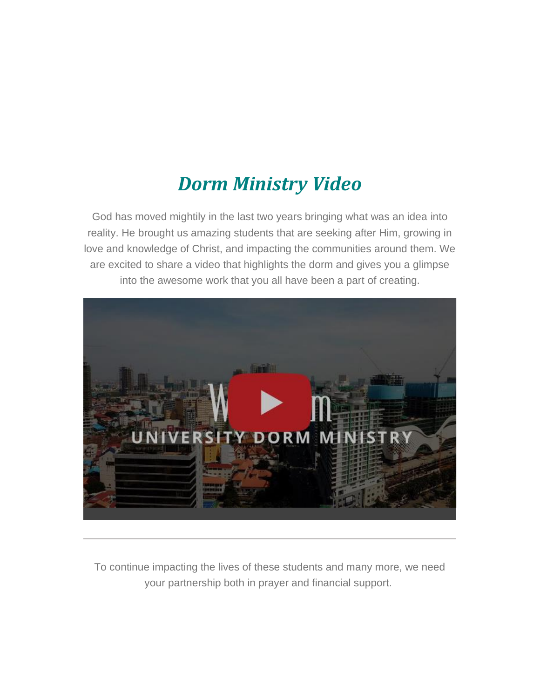## *Dorm Ministry Video*

God has moved mightily in the last two years bringing what was an idea into reality. He brought us amazing students that are seeking after Him, growing in love and knowledge of Christ, and impacting the communities around them. We are excited to share a video that highlights the dorm and gives you a glimpse into the awesome work that you all have been a part of creating.



To continue impacting the lives of these students and many more, we need your partnership both in prayer and financial support.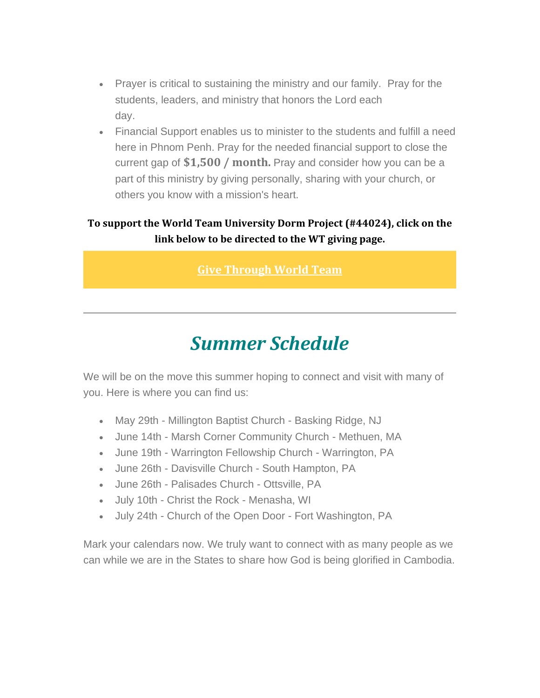- Prayer is critical to sustaining the ministry and our family. Pray for the students, leaders, and ministry that honors the Lord each day.
- Financial Support enables us to minister to the students and fulfill a need here in Phnom Penh. Pray for the needed financial support to close the current gap of **\$1,500 / month.** Pray and consider how you can be a part of this ministry by giving personally, sharing with your church, or others you know with a mission's heart.

#### **To support the World Team University Dorm Project (#44024), click on the link below to be directed to the WT giving page.**

### **Give [Through](https://facebook.us12.list-manage.com/track/click?u=f924f7e62f4f77522ccd7fb33&id=c54189d9cb&e=e5614c1ad8) World Team**

## *Summer Schedule*

We will be on the move this summer hoping to connect and visit with many of you. Here is where you can find us:

- May 29th Millington Baptist Church Basking Ridge, NJ
- June 14th Marsh Corner Community Church Methuen, MA
- June 19th Warrington Fellowship Church Warrington, PA
- June 26th Davisville Church South Hampton, PA
- June 26th Palisades Church Ottsville, PA
- July 10th Christ the Rock Menasha, WI
- July 24th Church of the Open Door Fort Washington, PA

Mark your calendars now. We truly want to connect with as many people as we can while we are in the States to share how God is being glorified in Cambodia.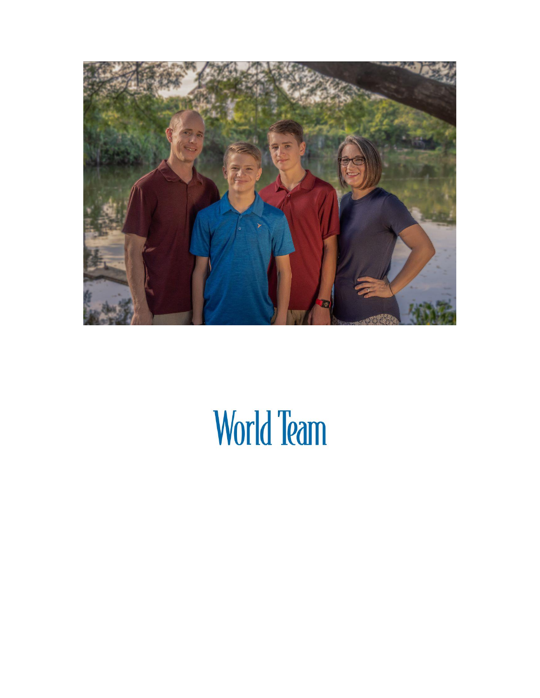

# **World Team**